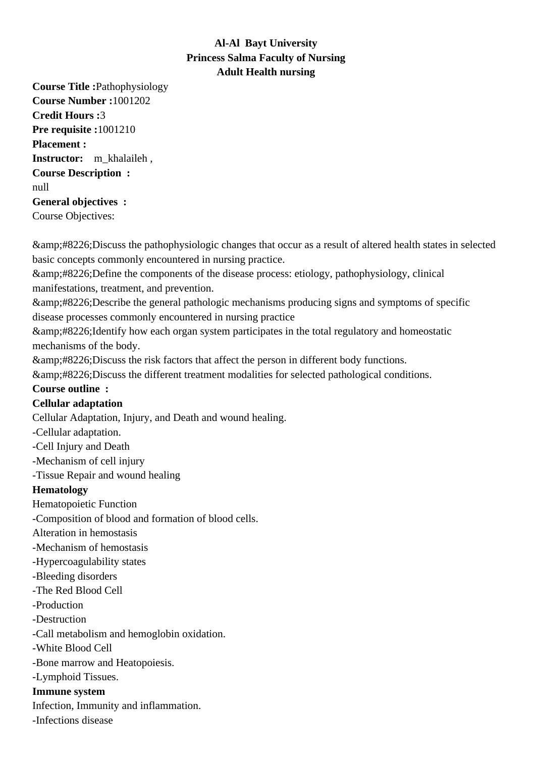# **Al-Al Bayt University Princess Salma Faculty of Nursing Adult Health nursing**

**Course Title :**Pathophysiology **Course Number :**1001202 **Credit Hours :**3 **Pre requisite :**1001210 **Placement : Instructor:** m\_khalaileh , **Course Description :** null **General objectives :** Course Objectives:

• Discuss the pathophysiologic changes that occur as a result of altered health states in selected basic concepts commonly encountered in nursing practice.

• Define the components of the disease process: etiology, pathophysiology, clinical manifestations, treatment, and prevention.

 $\•$ ; Describe the general pathologic mechanisms producing signs and symptoms of specific disease processes commonly encountered in nursing practice

& amp: #8226: Identify how each organ system participates in the total regulatory and homeostatic mechanisms of the body.

& amp; #8226; Discuss the risk factors that affect the person in different body functions.

• Discuss the different treatment modalities for selected pathological conditions.

### **Course outline :**

## **Cellular adaptation**

Cellular Adaptation, Injury, and Death and wound healing.

- Cellular adaptation.
- Cell Injury and Death
- Mechanism of cell injury
- Tissue Repair and wound healing

## **Hematology**

Hematopoietic Function

- Composition of blood and formation of blood cells.
- Alteration in hemostasis
- Mechanism of hemostasis
- Hypercoagulability states
- Bleeding disorders
- The Red Blood Cell
- Production
- Destruction
- Call metabolism and hemoglobin oxidation.
- - White Blood Cell
- Bone marrow and Heatopoiesis.
- Lymphoid Tissues.

## **Immune system**

Infection, Immunity and inflammation.

- Infections disease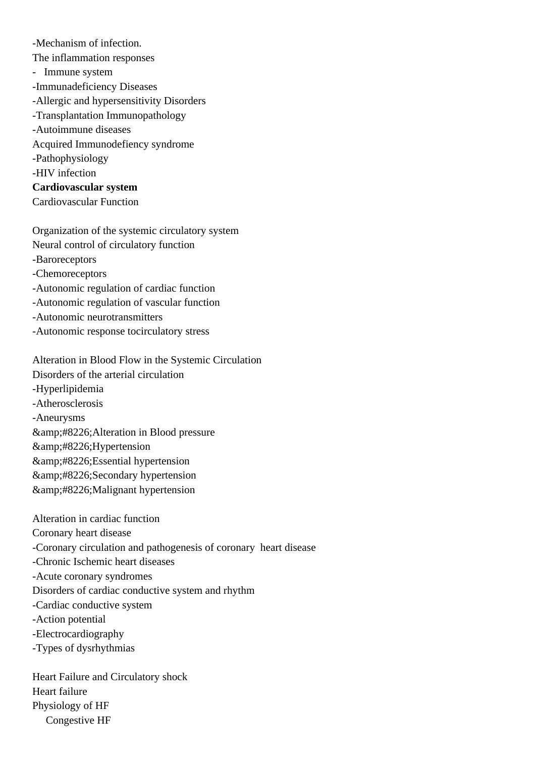- Mechanism of infection.

 The inflammation responses

- Immune system
- Immunadeficiency Diseases
- Allergic and hypersensitivity Disorders
- Transplantation Immunopathology
- Autoimmune diseases
- Acquired Immunodefiency syndrome
- Pathophysiology
- HIV infection

**Cardiovascular system**

Cardiovascular Function

 Organization of the systemic circulatory system Neural control of circulatory function

- Baroreceptors
- Chemoreceptors
- Autonomic regulation of cardiac function
- Autonomic regulation of vascular function
- Autonomic neurotransmitters
- Autonomic response tocirculatory stress

 Alteration in Blood Flow in the Systemic Circulation Disorders of the arterial circulation

- Hyperlipidemia
- Atherosclerosis
- Aneurysms

& amp;#8226; Alteration in Blood pressure

- Hypertension
- Essential hypertension
- & amp; #8226; Secondary hypertension
- & amp: #8226: Malignant hypertension

 Alteration in cardiac function

 Coronary heart disease

- Coronary circulation and pathogenesis of coronary heart disease
- Chronic Ischemic heart diseases
- Acute coronary syndromes

 Disorders of cardiac conductive system and rhythm

- Cardiac conductive system
- Action potential
- Electrocardiography
- Types of dysrhythmias

 Heart Failure and Circulatory shock Heart failure Physiology of HF Congestive HF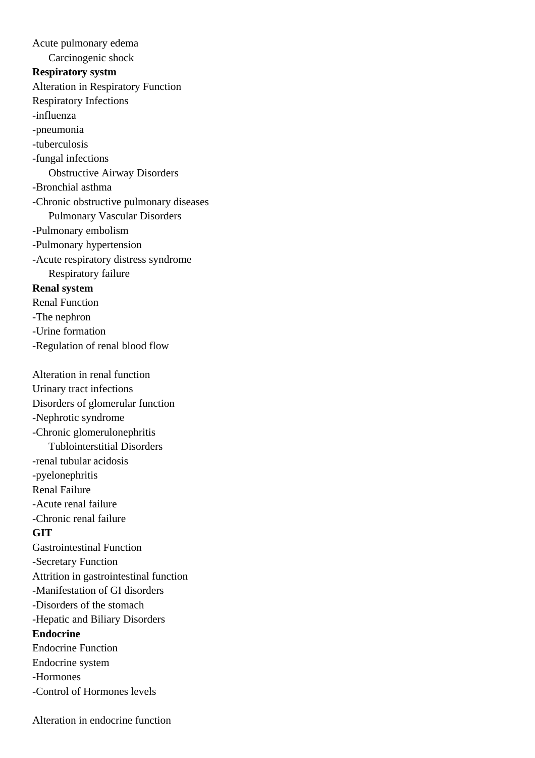Acute pulmonary edema

Carcinogenic shock

#### **Respiratory systm**

Alteration in Respiratory Function

Respiratory Infections

- influenza
- pneumonia
- tuberculosis
- fungal infections

Obstructive Airway Disorders

- Bronchial asthma
- Chronic obstructive pulmonary diseases Pulmonary Vascular Disorders
- Pulmonary embolism
- Pulmonary hypertension
- Acute respiratory distress syndrome Respiratory failure

### **Renal system**

- Renal Function
- The nephron
- Urine formation
- Regulation of renal blood flow

Alteration in renal function

Urinary tract infections

Disorders of glomerular function

- - Nephrotic syndrome
- Chronic glomerulonephritis Tublointerstitial Disorders
- renal tubular acidosis
- pyelonephritis

Renal Failure

- Acute renal failure
- - Chronic renal failure

### **GIT**

Gastrointestinal Function

- Secretary Function
- Attrition in gastrointestinal function
- Manifestation of GI disorders
- Disorders of the stomach
- Hepatic and Biliary Disorders

### **Endocrine**

Endocrine Function

- Endocrine system
- Hormones
- - Control of Hormones levels

Alteration in endocrine function